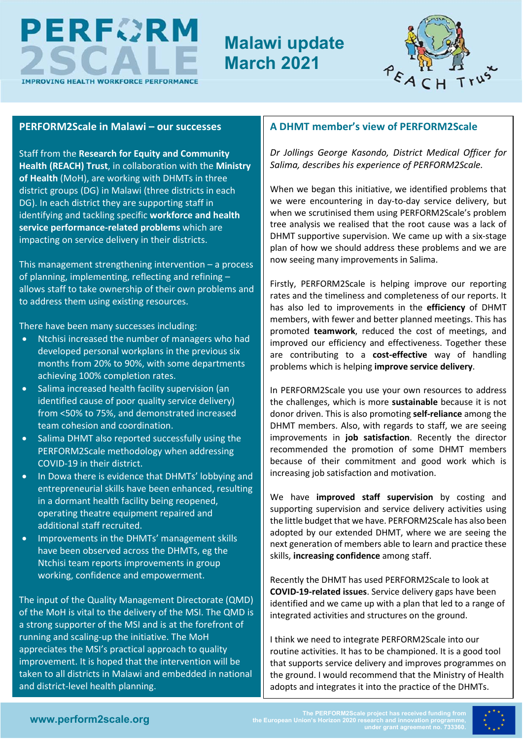

# **Malawi update March 2021**



#### **PERFORM2Scale in Malawi – our successes**

Staff from the **Research for Equity and Community Health (REACH) Trust**, in collaboration with the **Ministry of Health** (MoH), are working with DHMTs in three district groups (DG) in Malawi (three districts in each DG). In each district they are supporting staff in identifying and tackling specific **workforce and health service performance-related problems** which are impacting on service delivery in their districts.

This management strengthening intervention – a process of planning, implementing, reflecting and refining – allows staff to take ownership of their own problems and to address them using existing resources.

There have been many successes including:

- Ntchisi increased the number of managers who had developed personal workplans in the previous six months from 20% to 90%, with some departments achieving 100% completion rates.
- Salima increased health facility supervision (an identified cause of poor quality service delivery) from <50% to 75%, and demonstrated increased team cohesion and coordination.
- Salima DHMT also reported successfully using the PERFORM2Scale methodology when addressing COVID-19 in their district.
- In Dowa there is evidence that DHMTs' lobbying and entrepreneurial skills have been enhanced, resulting in a dormant health facility being reopened, operating theatre equipment repaired and additional staff recruited.
- Improvements in the DHMTs' management skills have been observed across the DHMTs, eg the Ntchisi team reports improvements in group working, confidence and empowerment.

The input of the Quality Management Directorate (QMD) of the MoH is vital to the delivery of the MSI. The QMD is a strong supporter of the MSI and is at the forefront of running and scaling-up the initiative. The MoH appreciates the MSI's practical approach to quality improvement. It is hoped that the intervention will be taken to all districts in Malawi and embedded in national and district-level health planning.

### **A DHMT member's view of PERFORM2Scale**

*Dr Jollings George Kasondo, District Medical Officer for Salima, describes his experience of PERFORM2Scale.* 

When we began this initiative, we identified problems that we were encountering in day-to-day service delivery, but when we scrutinised them using PERFORM2Scale's problem tree analysis we realised that the root cause was a lack of DHMT supportive supervision. We came up with a six-stage plan of how we should address these problems and we are now seeing many improvements in Salima.

Firstly, PERFORM2Scale is helping improve our reporting rates and the timeliness and completeness of our reports. It has also led to improvements in the **efficiency** of DHMT members, with fewer and better planned meetings. This has promoted **teamwork**, reduced the cost of meetings, and improved our efficiency and effectiveness. Together these are contributing to a **cost-effective** way of handling problems which is helping **improve service delivery**.

In PERFORM2Scale you use your own resources to address the challenges, which is more **sustainable** because it is not donor driven. This is also promoting **self-reliance** among the DHMT members. Also, with regards to staff, we are seeing improvements in **job satisfaction**. Recently the director recommended the promotion of some DHMT members because of their commitment and good work which is increasing job satisfaction and motivation.

We have **improved staff supervision** by costing and supporting supervision and service delivery activities using the little budget that we have. PERFORM2Scale has also been adopted by our extended DHMT, where we are seeing the next generation of members able to learn and practice these skills, **increasing confidence** among staff.

Recently the DHMT has used PERFORM2Scale to look at **COVID-19-related issues**. Service delivery gaps have been identified and we came up with a plan that led to a range of integrated activities and structures on the ground.

I think we need to integrate PERFORM2Scale into our routine activities. It has to be championed. It is a good tool that supports service delivery and improves programmes on the ground. I would recommend that the Ministry of Health adopts and integrates it into the practice of the DHMTs.